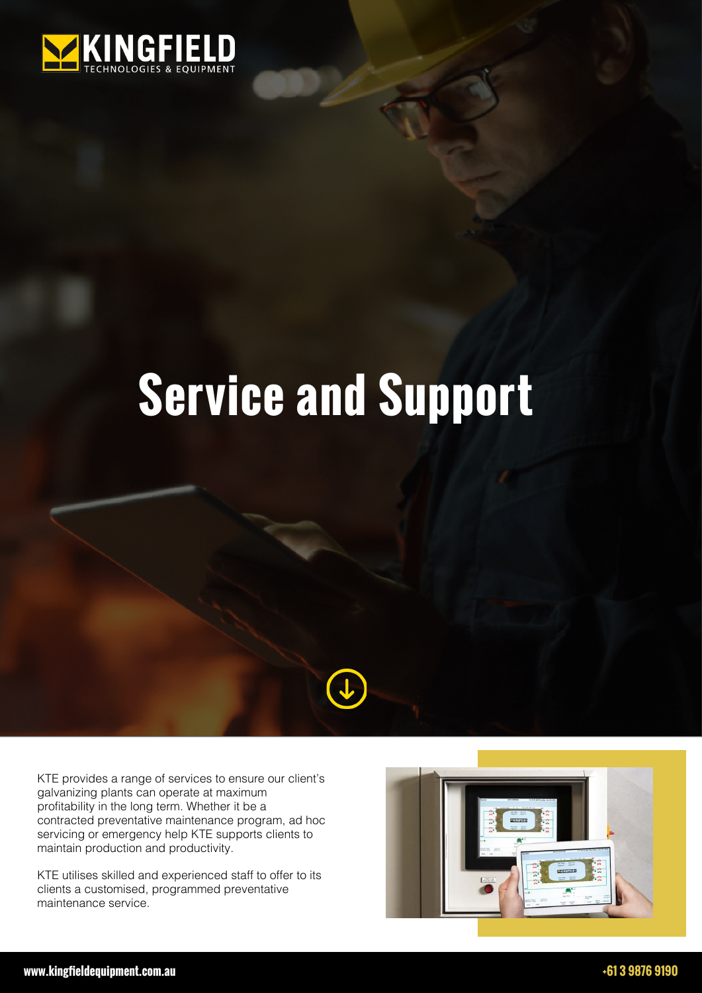

## **Service and Support**

KTE provides a range of services to ensure our client's galvanizing plants can operate at maximum profitability in the long term. Whether it be a contracted preventative maintenance program, ad hoc servicing or emergency help KTE supports clients to maintain production and productivity.

KTE utilises skilled and experienced staff to offer to its clients a customised, programmed preventative maintenance service.